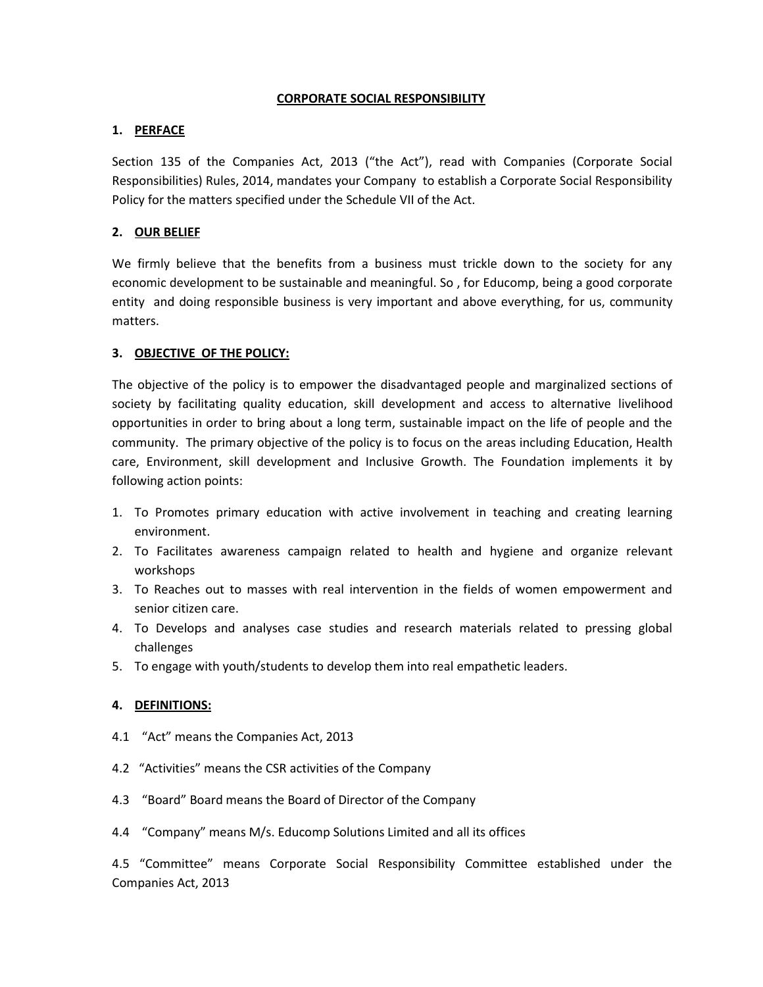# **CORPORATE SOCIAL RESPONSIBILITY**

# **1. PERFACE**

Section 135 of the Companies Act, 2013 ("the Act"), read with Companies (Corporate Social Responsibilities) Rules, 2014, mandates your Company to establish a Corporate Social Responsibility Policy for the matters specified under the Schedule VII of the Act.

# **2. OUR BELIEF**

We firmly believe that the benefits from a business must trickle down to the society for any economic development to be sustainable and meaningful. So , for Educomp, being a good corporate entity and doing responsible business is very important and above everything, for us, community matters.

### **3. OBJECTIVE OF THE POLICY:**

The objective of the policy is to empower the disadvantaged people and marginalized sections of society by facilitating quality education, skill development and access to alternative livelihood opportunities in order to bring about a long term, sustainable impact on the life of people and the community. The primary objective of the policy is to focus on the areas including Education, Health care, Environment, skill development and Inclusive Growth. The Foundation implements it by following action points:

- 1. To Promotes primary education with active involvement in teaching and creating learning environment.
- 2. To Facilitates awareness campaign related to health and hygiene and organize relevant workshops
- 3. To Reaches out to masses with real intervention in the fields of women empowerment and senior citizen care.
- 4. To Develops and analyses case studies and research materials related to pressing global challenges
- 5. To engage with youth/students to develop them into real empathetic leaders.

# **4. DEFINITIONS:**

- 4.1 "Act" means the Companies Act, 2013
- 4.2 "Activities" means the CSR activities of the Company
- 4.3 "Board" Board means the Board of Director of the Company
- 4.4 "Company" means M/s. Educomp Solutions Limited and all its offices

4.5 "Committee" means Corporate Social Responsibility Committee established under the Companies Act, 2013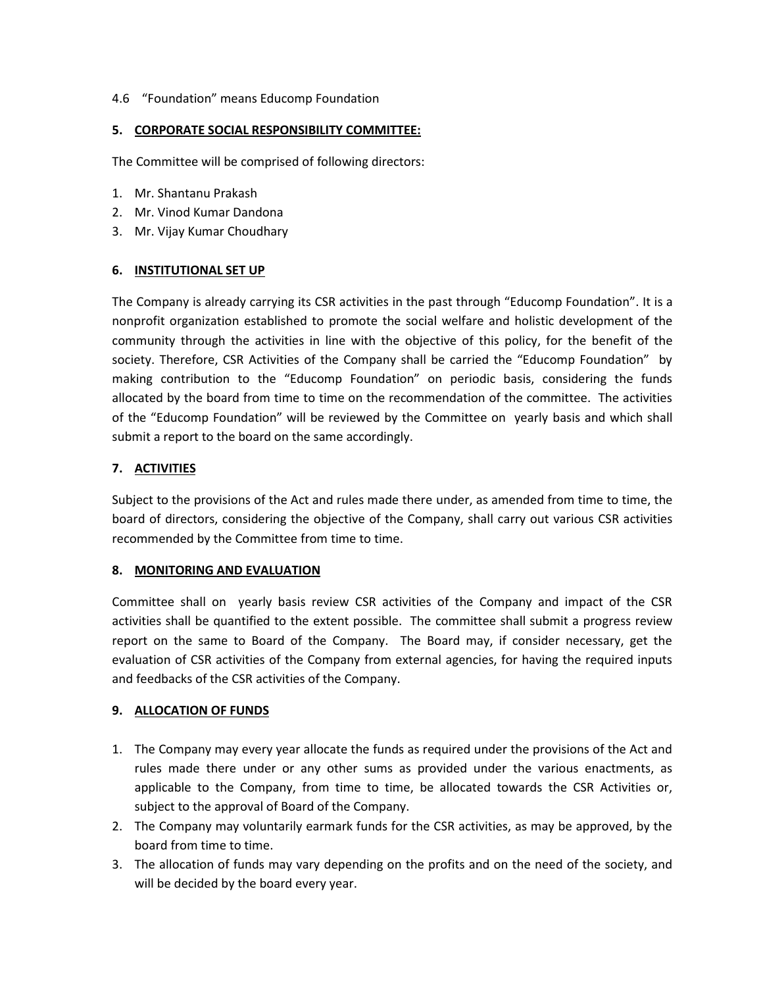### 4.6 "Foundation" means Educomp Foundation

#### **5. CORPORATE SOCIAL RESPONSIBILITY COMMITTEE:**

The Committee will be comprised of following directors:

- 1. Mr. Shantanu Prakash
- 2. Mr. Vinod Kumar Dandona
- 3. Mr. Vijay Kumar Choudhary

### **6. INSTITUTIONAL SET UP**

The Company is already carrying its CSR activities in the past through "Educomp Foundation". It is a nonprofit organization established to promote the social welfare and holistic development of the community through the activities in line with the objective of this policy, for the benefit of the society. Therefore, CSR Activities of the Company shall be carried the "Educomp Foundation" by making contribution to the "Educomp Foundation" on periodic basis, considering the funds allocated by the board from time to time on the recommendation of the committee. The activities of the "Educomp Foundation" will be reviewed by the Committee on yearly basis and which shall submit a report to the board on the same accordingly.

### **7. ACTIVITIES**

Subject to the provisions of the Act and rules made there under, as amended from time to time, the board of directors, considering the objective of the Company, shall carry out various CSR activities recommended by the Committee from time to time.

#### **8. MONITORING AND EVALUATION**

Committee shall on yearly basis review CSR activities of the Company and impact of the CSR activities shall be quantified to the extent possible. The committee shall submit a progress review report on the same to Board of the Company. The Board may, if consider necessary, get the evaluation of CSR activities of the Company from external agencies, for having the required inputs and feedbacks of the CSR activities of the Company.

#### **9. ALLOCATION OF FUNDS**

- 1. The Company may every year allocate the funds as required under the provisions of the Act and rules made there under or any other sums as provided under the various enactments, as applicable to the Company, from time to time, be allocated towards the CSR Activities or, subject to the approval of Board of the Company.
- 2. The Company may voluntarily earmark funds for the CSR activities, as may be approved, by the board from time to time.
- 3. The allocation of funds may vary depending on the profits and on the need of the society, and will be decided by the board every year.